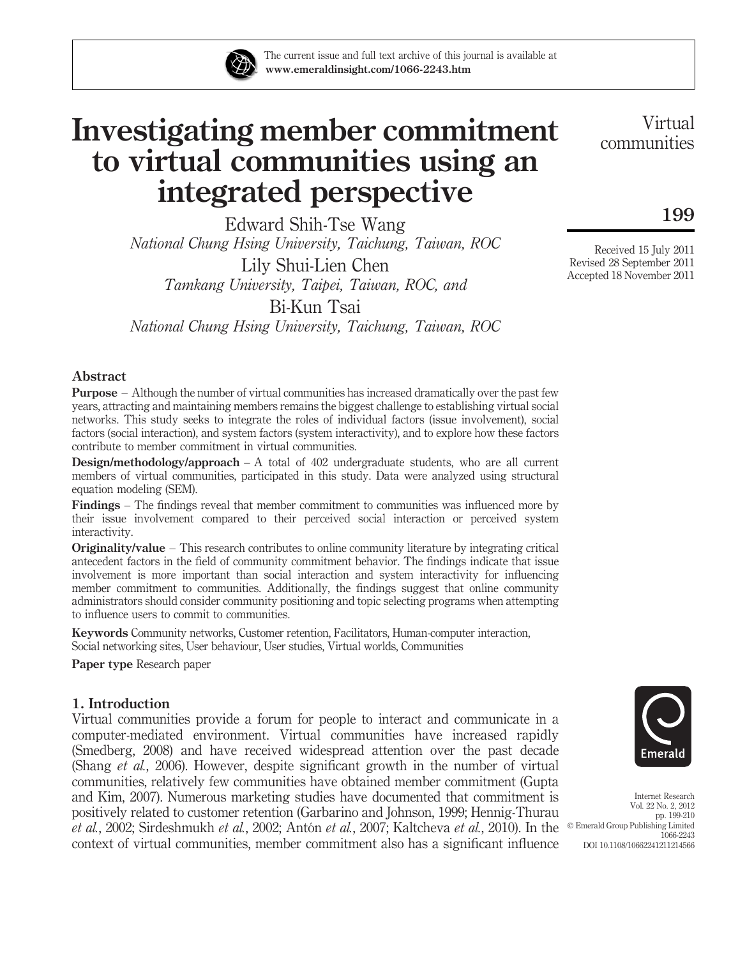

The current issue and full text archive of this journal is available at www.emeraldinsight.com/1066-2243.htm

# Investigating member commitment to virtual communities using an integrated perspective

Edward Shih-Tse Wang National Chung Hsing University, Taichung, Taiwan, ROC Lily Shui-Lien Chen Tamkang University, Taipei, Taiwan, ROC, and Bi-Kun Tsai

National Chung Hsing University, Taichung, Taiwan, ROC

## Abstract

Purpose – Although the number of virtual communities has increased dramatically over the past few years, attracting and maintaining members remains the biggest challenge to establishing virtual social networks. This study seeks to integrate the roles of individual factors (issue involvement), social factors (social interaction), and system factors (system interactivity), and to explore how these factors contribute to member commitment in virtual communities.

Design/methodology/approach – A total of 402 undergraduate students, who are all current members of virtual communities, participated in this study. Data were analyzed using structural equation modeling (SEM).

Findings – The findings reveal that member commitment to communities was influenced more by their issue involvement compared to their perceived social interaction or perceived system interactivity.

Originality/value – This research contributes to online community literature by integrating critical antecedent factors in the field of community commitment behavior. The findings indicate that issue involvement is more important than social interaction and system interactivity for influencing member commitment to communities. Additionally, the findings suggest that online community administrators should consider community positioning and topic selecting programs when attempting to influence users to commit to communities.

Keywords Community networks, Customer retention, Facilitators, Human-computer interaction, Social networking sites, User behaviour, User studies, Virtual worlds, Communities

Paper type Research paper

## 1. Introduction

Virtual communities provide a forum for people to interact and communicate in a computer-mediated environment. Virtual communities have increased rapidly (Smedberg, 2008) and have received widespread attention over the past decade (Shang et al., 2006). However, despite significant growth in the number of virtual communities, relatively few communities have obtained member commitment (Gupta and Kim, 2007). Numerous marketing studies have documented that commitment is positively related to customer retention (Garbarino and Johnson, 1999; Hennig-Thurau et al., 2002; Sirdeshmukh et al., 2002; Antón et al., 2007; Kaltcheva et al., 2010). In the  $\degree$  Emerald Group Publishing Limited context of virtual communities, member commitment also has a significant influence

Internet Research Vol. 22 No. 2, 2012 pp. 199-210 1066-2243 DOI 10.1108/10662241211214566

Virtual communities

199

Received 15 July 2011 Revised 28 September 2011 Accepted 18 November 2011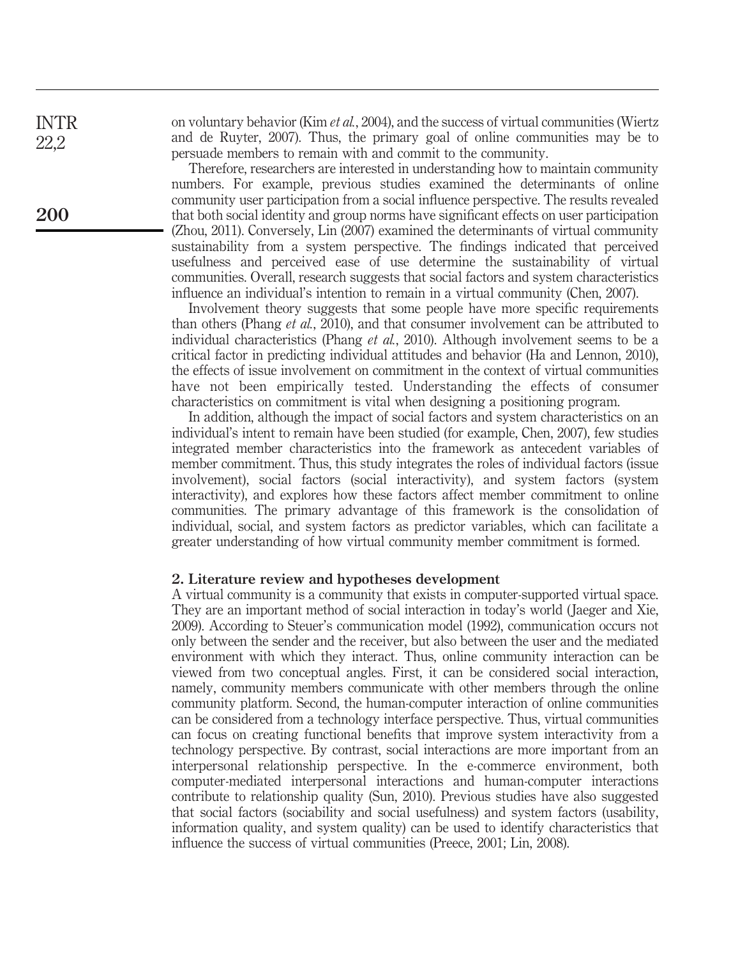on voluntary behavior (Kim et al., 2004), and the success of virtual communities (Wiertz and de Ruyter, 2007). Thus, the primary goal of online communities may be to persuade members to remain with and commit to the community.

Therefore, researchers are interested in understanding how to maintain community numbers. For example, previous studies examined the determinants of online community user participation from a social influence perspective. The results revealed that both social identity and group norms have significant effects on user participation (Zhou, 2011). Conversely, Lin (2007) examined the determinants of virtual community sustainability from a system perspective. The findings indicated that perceived usefulness and perceived ease of use determine the sustainability of virtual communities. Overall, research suggests that social factors and system characteristics influence an individual's intention to remain in a virtual community (Chen, 2007).

Involvement theory suggests that some people have more specific requirements than others (Phang et al., 2010), and that consumer involvement can be attributed to individual characteristics (Phang et al., 2010). Although involvement seems to be a critical factor in predicting individual attitudes and behavior (Ha and Lennon, 2010), the effects of issue involvement on commitment in the context of virtual communities have not been empirically tested. Understanding the effects of consumer characteristics on commitment is vital when designing a positioning program.

In addition, although the impact of social factors and system characteristics on an individual's intent to remain have been studied (for example, Chen, 2007), few studies integrated member characteristics into the framework as antecedent variables of member commitment. Thus, this study integrates the roles of individual factors (issue involvement), social factors (social interactivity), and system factors (system interactivity), and explores how these factors affect member commitment to online communities. The primary advantage of this framework is the consolidation of individual, social, and system factors as predictor variables, which can facilitate a greater understanding of how virtual community member commitment is formed.

#### 2. Literature review and hypotheses development

A virtual community is a community that exists in computer-supported virtual space. They are an important method of social interaction in today's world (Jaeger and Xie, 2009). According to Steuer's communication model (1992), communication occurs not only between the sender and the receiver, but also between the user and the mediated environment with which they interact. Thus, online community interaction can be viewed from two conceptual angles. First, it can be considered social interaction, namely, community members communicate with other members through the online community platform. Second, the human-computer interaction of online communities can be considered from a technology interface perspective. Thus, virtual communities can focus on creating functional benefits that improve system interactivity from a technology perspective. By contrast, social interactions are more important from an interpersonal relationship perspective. In the e-commerce environment, both computer-mediated interpersonal interactions and human-computer interactions contribute to relationship quality (Sun, 2010). Previous studies have also suggested that social factors (sociability and social usefulness) and system factors (usability, information quality, and system quality) can be used to identify characteristics that influence the success of virtual communities (Preece, 2001; Lin, 2008).

INTR 22,2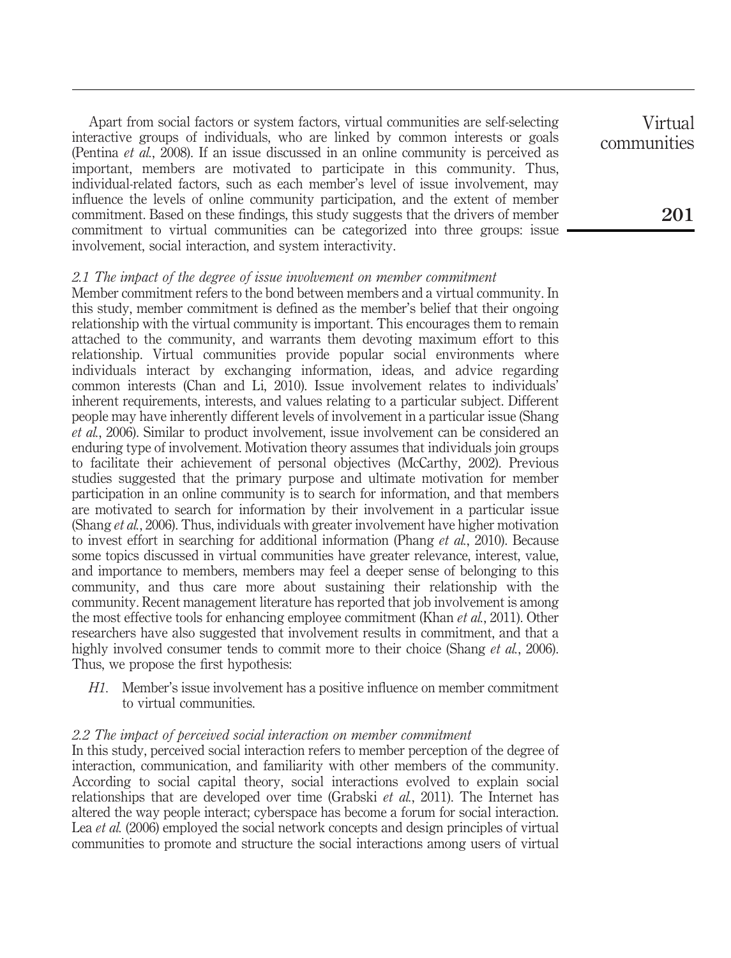Apart from social factors or system factors, virtual communities are self-selecting interactive groups of individuals, who are linked by common interests or goals (Pentina et al., 2008). If an issue discussed in an online community is perceived as important, members are motivated to participate in this community. Thus, individual-related factors, such as each member's level of issue involvement, may influence the levels of online community participation, and the extent of member commitment. Based on these findings, this study suggests that the drivers of member commitment to virtual communities can be categorized into three groups: issue involvement, social interaction, and system interactivity.

## 2.1 The impact of the degree of issue involvement on member commitment

Member commitment refers to the bond between members and a virtual community. In this study, member commitment is defined as the member's belief that their ongoing relationship with the virtual community is important. This encourages them to remain attached to the community, and warrants them devoting maximum effort to this relationship. Virtual communities provide popular social environments where individuals interact by exchanging information, ideas, and advice regarding common interests (Chan and Li, 2010). Issue involvement relates to individuals' inherent requirements, interests, and values relating to a particular subject. Different people may have inherently different levels of involvement in a particular issue (Shang et al., 2006). Similar to product involvement, issue involvement can be considered an enduring type of involvement. Motivation theory assumes that individuals join groups to facilitate their achievement of personal objectives (McCarthy, 2002). Previous studies suggested that the primary purpose and ultimate motivation for member participation in an online community is to search for information, and that members are motivated to search for information by their involvement in a particular issue (Shang et al., 2006). Thus, individuals with greater involvement have higher motivation to invest effort in searching for additional information (Phang *et al.*, 2010). Because some topics discussed in virtual communities have greater relevance, interest, value, and importance to members, members may feel a deeper sense of belonging to this community, and thus care more about sustaining their relationship with the community. Recent management literature has reported that job involvement is among the most effective tools for enhancing employee commitment (Khan et al., 2011). Other researchers have also suggested that involvement results in commitment, and that a highly involved consumer tends to commit more to their choice (Shang *et al.*, 2006). Thus, we propose the first hypothesis:

H1. Member's issue involvement has a positive influence on member commitment to virtual communities.

## 2.2 The impact of perceived social interaction on member commitment

In this study, perceived social interaction refers to member perception of the degree of interaction, communication, and familiarity with other members of the community. According to social capital theory, social interactions evolved to explain social relationships that are developed over time (Grabski et al., 2011). The Internet has altered the way people interact; cyberspace has become a forum for social interaction. Lea *et al.* (2006) employed the social network concepts and design principles of virtual communities to promote and structure the social interactions among users of virtual

Virtual communities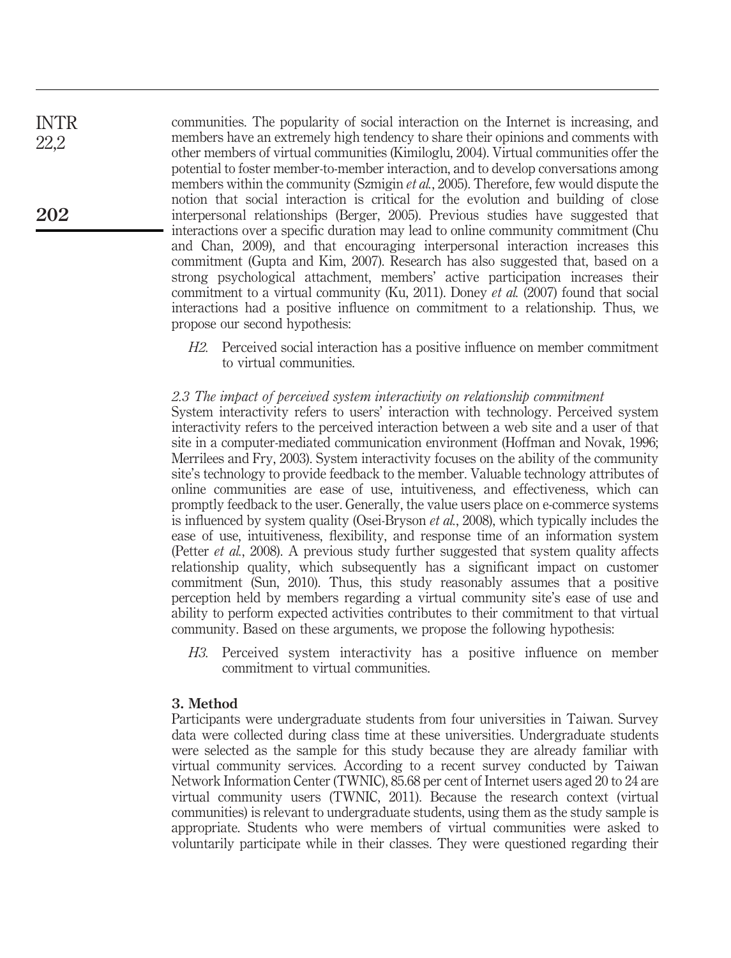communities. The popularity of social interaction on the Internet is increasing, and members have an extremely high tendency to share their opinions and comments with other members of virtual communities (Kimiloglu, 2004). Virtual communities offer the potential to foster member-to-member interaction, and to develop conversations among members within the community (Szmigin *et al.*, 2005). Therefore, few would dispute the notion that social interaction is critical for the evolution and building of close interpersonal relationships (Berger, 2005). Previous studies have suggested that interactions over a specific duration may lead to online community commitment (Chu and Chan, 2009), and that encouraging interpersonal interaction increases this commitment (Gupta and Kim, 2007). Research has also suggested that, based on a strong psychological attachment, members' active participation increases their commitment to a virtual community (Ku, 2011). Doney et al. (2007) found that social interactions had a positive influence on commitment to a relationship. Thus, we propose our second hypothesis:

H<sub>2</sub>. Perceived social interaction has a positive influence on member commitment to virtual communities.

## 2.3 The impact of perceived system interactivity on relationship commitment

System interactivity refers to users' interaction with technology. Perceived system interactivity refers to the perceived interaction between a web site and a user of that site in a computer-mediated communication environment (Hoffman and Novak, 1996; Merrilees and Fry, 2003). System interactivity focuses on the ability of the community site's technology to provide feedback to the member. Valuable technology attributes of online communities are ease of use, intuitiveness, and effectiveness, which can promptly feedback to the user. Generally, the value users place on e-commerce systems is influenced by system quality (Osei-Bryson et al., 2008), which typically includes the ease of use, intuitiveness, flexibility, and response time of an information system (Petter *et al.*, 2008). A previous study further suggested that system quality affects relationship quality, which subsequently has a significant impact on customer commitment (Sun, 2010). Thus, this study reasonably assumes that a positive perception held by members regarding a virtual community site's ease of use and ability to perform expected activities contributes to their commitment to that virtual community. Based on these arguments, we propose the following hypothesis:

H3. Perceived system interactivity has a positive influence on member commitment to virtual communities.

## 3. Method

Participants were undergraduate students from four universities in Taiwan. Survey data were collected during class time at these universities. Undergraduate students were selected as the sample for this study because they are already familiar with virtual community services. According to a recent survey conducted by Taiwan Network Information Center (TWNIC), 85.68 per cent of Internet users aged 20 to 24 are virtual community users (TWNIC, 2011). Because the research context (virtual communities) is relevant to undergraduate students, using them as the study sample is appropriate. Students who were members of virtual communities were asked to voluntarily participate while in their classes. They were questioned regarding their

INTR 22,2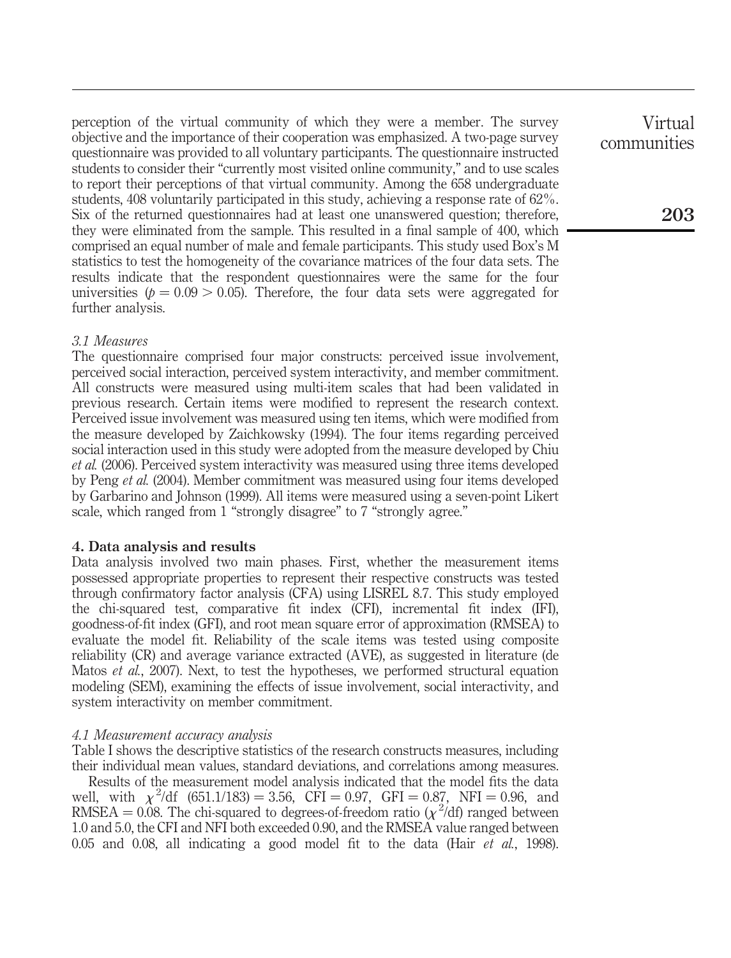perception of the virtual community of which they were a member. The survey objective and the importance of their cooperation was emphasized. A two-page survey questionnaire was provided to all voluntary participants. The questionnaire instructed students to consider their "currently most visited online community," and to use scales to report their perceptions of that virtual community. Among the 658 undergraduate students, 408 voluntarily participated in this study, achieving a response rate of 62%. Six of the returned questionnaires had at least one unanswered question; therefore, they were eliminated from the sample. This resulted in a final sample of 400, which comprised an equal number of male and female participants. This study used Box's M statistics to test the homogeneity of the covariance matrices of the four data sets. The results indicate that the respondent questionnaires were the same for the four universities ( $p = 0.09 > 0.05$ ). Therefore, the four data sets were aggregated for further analysis.

## 3.1 Measures

The questionnaire comprised four major constructs: perceived issue involvement, perceived social interaction, perceived system interactivity, and member commitment. All constructs were measured using multi-item scales that had been validated in previous research. Certain items were modified to represent the research context. Perceived issue involvement was measured using ten items, which were modified from the measure developed by Zaichkowsky (1994). The four items regarding perceived social interaction used in this study were adopted from the measure developed by Chiu et al. (2006). Perceived system interactivity was measured using three items developed by Peng et al. (2004). Member commitment was measured using four items developed by Garbarino and Johnson (1999). All items were measured using a seven-point Likert scale, which ranged from 1 "strongly disagree" to 7 "strongly agree."

## 4. Data analysis and results

Data analysis involved two main phases. First, whether the measurement items possessed appropriate properties to represent their respective constructs was tested through confirmatory factor analysis (CFA) using LISREL 8.7. This study employed the chi-squared test, comparative fit index (CFI), incremental fit index (IFI), goodness-of-fit index (GFI), and root mean square error of approximation (RMSEA) to evaluate the model fit. Reliability of the scale items was tested using composite reliability (CR) and average variance extracted (AVE), as suggested in literature (de Matos et al., 2007). Next, to test the hypotheses, we performed structural equation modeling (SEM), examining the effects of issue involvement, social interactivity, and system interactivity on member commitment.

## 4.1 Measurement accuracy analysis

Table I shows the descriptive statistics of the research constructs measures, including their individual mean values, standard deviations, and correlations among measures.

Results of the measurement model analysis indicated that the model fits the data well, with  $\chi^2$ /df (651.1/183) = 3.56, CFI = 0.97, GFI = 0.87, NFI = 0.96, and RMSEA = 0.08. The chi-squared to degrees-of-freedom ratio ( $\chi^2/df$ ) ranged between 1.0 and 5.0, the CFI and NFI both exceeded 0.90, and the RMSEA value ranged between 0.05 and 0.08, all indicating a good model fit to the data (Hair  $et$   $al$ , 1998).

Virtual communities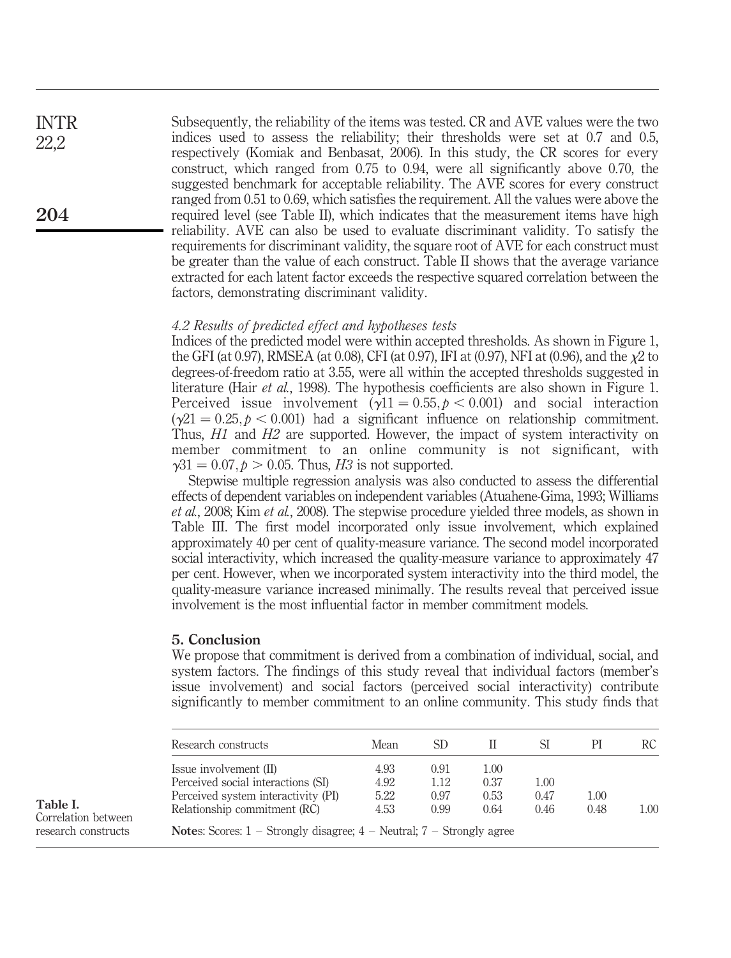Subsequently, the reliability of the items was tested. CR and AVE values were the two indices used to assess the reliability; their thresholds were set at 0.7 and 0.5, respectively (Komiak and Benbasat, 2006). In this study, the CR scores for every construct, which ranged from 0.75 to 0.94, were all significantly above 0.70, the suggested benchmark for acceptable reliability. The AVE scores for every construct ranged from 0.51 to 0.69, which satisfies the requirement. All the values were above the required level (see Table II), which indicates that the measurement items have high reliability. AVE can also be used to evaluate discriminant validity. To satisfy the requirements for discriminant validity, the square root of AVE for each construct must be greater than the value of each construct. Table II shows that the average variance extracted for each latent factor exceeds the respective squared correlation between the factors, demonstrating discriminant validity.

## 4.2 Results of predicted effect and hypotheses tests

Indices of the predicted model were within accepted thresholds. As shown in Figure 1, the GFI (at 0.97), RMSEA (at 0.08), CFI (at 0.97), IFI at (0.97), NFI at (0.96), and the  $\chi^2$  to degrees-of-freedom ratio at 3.55, were all within the accepted thresholds suggested in literature (Hair *et al.*, 1998). The hypothesis coefficients are also shown in Figure 1. Perceived issue involvement  $(\gamma 11 = 0.55, \rho < 0.001)$  and social interaction  $(\gamma 21 = 0.25, \rho < 0.001)$  had a significant influence on relationship commitment. Thus, H1 and H2 are supported. However, the impact of system interactivity on member commitment to an online community is not significant, with  $\gamma 31 = 0.07, \nu > 0.05$ . Thus, H3 is not supported.

Stepwise multiple regression analysis was also conducted to assess the differential effects of dependent variables on independent variables (Atuahene-Gima, 1993; Williams et al., 2008; Kim et al., 2008). The stepwise procedure yielded three models, as shown in Table III. The first model incorporated only issue involvement, which explained approximately 40 per cent of quality-measure variance. The second model incorporated social interactivity, which increased the quality-measure variance to approximately 47 per cent. However, when we incorporated system interactivity into the third model, the quality-measure variance increased minimally. The results reveal that perceived issue involvement is the most influential factor in member commitment models.

## 5. Conclusion

We propose that commitment is derived from a combination of individual, social, and system factors. The findings of this study reveal that individual factors (member's issue involvement) and social factors (perceived social interactivity) contribute significantly to member commitment to an online community. This study finds that

|                                                        | Research constructs                                                                | Mean | SD   |      |      |          | RC   |
|--------------------------------------------------------|------------------------------------------------------------------------------------|------|------|------|------|----------|------|
|                                                        | Issue involvement (II)                                                             | 4.93 | 0.91 | 1.00 |      |          |      |
|                                                        | Perceived social interactions (SI)                                                 | 4.92 | 1.12 | 0.37 | 1.00 |          |      |
| Table I.<br>Correlation between<br>research constructs | Perceived system interactivity (PI)                                                | 5.22 | 0.97 | 0.53 | 0.47 | $1.00\,$ |      |
|                                                        | Relationship commitment (RC)                                                       | 4.53 | 0.99 | 0.64 | 0.46 | 0.48     | 1.00 |
|                                                        | <b>Notes:</b> Scores: $1 -$ Strongly disagree; $4 -$ Neutral; $7 -$ Strongly agree |      |      |      |      |          |      |

INTR 22,2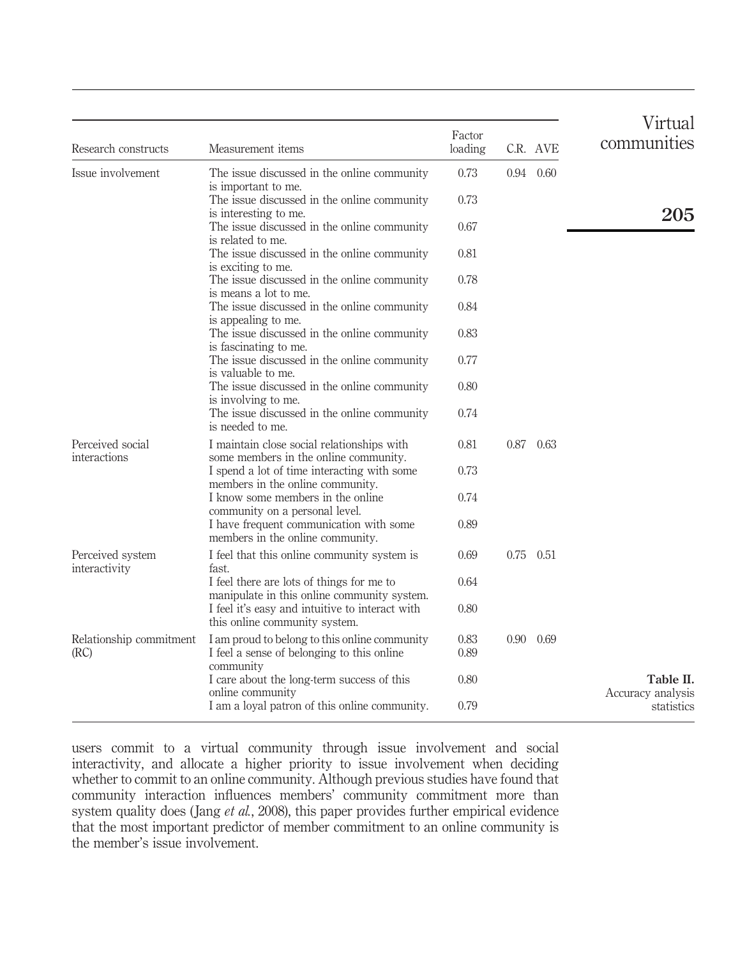|                                   |                                                                                                                                       |                   |                   | Virtual                        |
|-----------------------------------|---------------------------------------------------------------------------------------------------------------------------------------|-------------------|-------------------|--------------------------------|
| Research constructs               | Measurement items                                                                                                                     | Factor<br>loading | C.R. AVE          | communities                    |
| Issue involvement                 | The issue discussed in the online community<br>is important to me.                                                                    | 0.73              | 0.94 0.60         |                                |
|                                   | The issue discussed in the online community<br>is interesting to me.                                                                  | 0.73              |                   | 205                            |
|                                   | The issue discussed in the online community<br>is related to me.                                                                      | 0.67              |                   |                                |
|                                   | The issue discussed in the online community<br>is exciting to me.                                                                     | 0.81              |                   |                                |
|                                   | The issue discussed in the online community<br>is means a lot to me.                                                                  | 0.78              |                   |                                |
|                                   | The issue discussed in the online community<br>is appealing to me.                                                                    | 0.84              |                   |                                |
|                                   | The issue discussed in the online community<br>is fascinating to me.                                                                  | 0.83              |                   |                                |
|                                   | The issue discussed in the online community<br>is valuable to me.                                                                     | 0.77              |                   |                                |
|                                   | The issue discussed in the online community<br>is involving to me.<br>The issue discussed in the online community<br>is needed to me. | 0.80<br>0.74      |                   |                                |
| Perceived social<br>interactions  | I maintain close social relationships with<br>some members in the online community.                                                   | 0.81              | $0.87$ 0.63       |                                |
|                                   | I spend a lot of time interacting with some<br>members in the online community.                                                       | 0.73              |                   |                                |
|                                   | I know some members in the online<br>community on a personal level.                                                                   | 0.74              |                   |                                |
|                                   | I have frequent communication with some<br>members in the online community.                                                           | 0.89              |                   |                                |
| Perceived system<br>interactivity | I feel that this online community system is<br>fast.                                                                                  | 0.69              | $0.75$ $0.51$     |                                |
|                                   | I feel there are lots of things for me to<br>manipulate in this online community system.                                              | 0.64              |                   |                                |
|                                   | I feel it's easy and intuitive to interact with<br>this online community system.                                                      | 0.80              |                   |                                |
| Relationship commitment<br>(RC)   | I am proud to belong to this online community<br>I feel a sense of belonging to this online<br>community                              | 0.83<br>0.89      | $0.90 \quad 0.69$ |                                |
|                                   | I care about the long-term success of this<br>online community                                                                        | 0.80              |                   | Table II.<br>Accuracy analysis |
|                                   | I am a loyal patron of this online community.                                                                                         | 0.79              |                   | statistics                     |

users commit to a virtual community through issue involvement and social interactivity, and allocate a higher priority to issue involvement when deciding whether to commit to an online community. Although previous studies have found that community interaction influences members' community commitment more than system quality does (Jang et al., 2008), this paper provides further empirical evidence that the most important predictor of member commitment to an online community is the member's issue involvement.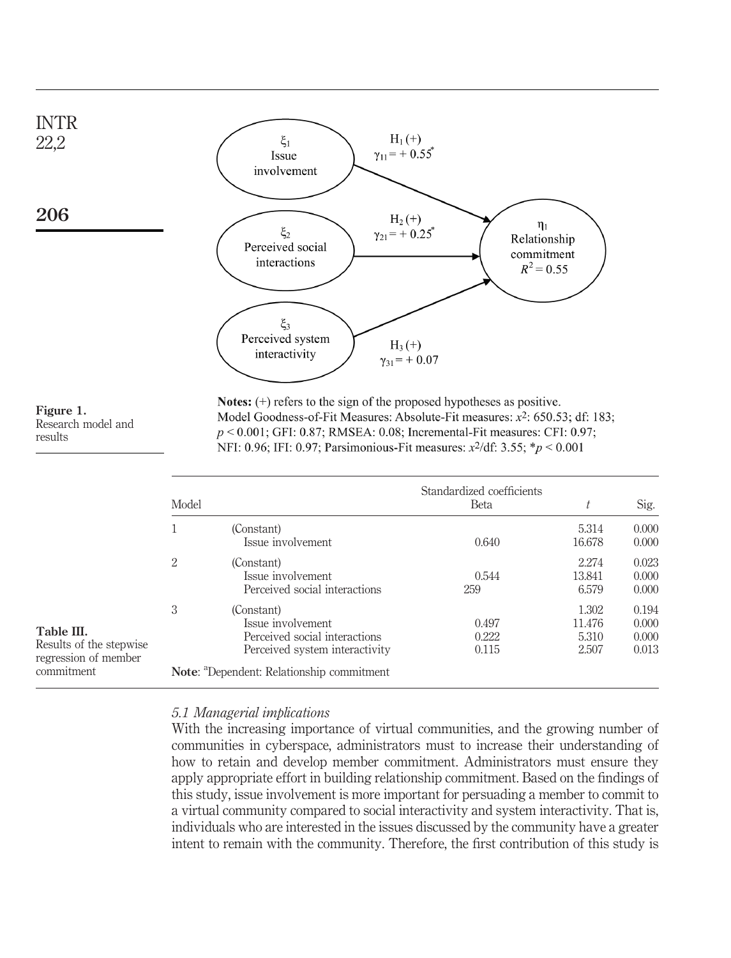

Figure 1. Research model and results

**Notes:**  $(+)$  refers to the sign of the proposed hypotheses as positive. Model Goodness-of-Fit Measures: Absolute-Fit measures:  $x^2$ : 650.53; df: 183;  $p \le 0.001$ ; GFI: 0.87; RMSEA: 0.08; Incremental-Fit measures: CFI: 0.97; NFI: 0.96; IFI: 0.97; Parsimonious-Fit measures:  $x^2/df$ : 3.55; \* $p < 0.001$ 

|                                                               | Model          |                                                                                                    | Standardized coefficients<br><b>Beta</b> | $\ddotmark$                       | Sig.                             |
|---------------------------------------------------------------|----------------|----------------------------------------------------------------------------------------------------|------------------------------------------|-----------------------------------|----------------------------------|
|                                                               |                | (Constant)<br>Issue involvement                                                                    | 0.640                                    | 5.314<br>16.678                   | 0.000<br>0.000                   |
|                                                               | $\overline{2}$ | (Constant)<br>Issue involvement<br>Perceived social interactions                                   | 0.544<br>259                             | 2.274<br>13.841<br>6.579          | 0.023<br>0.000<br>0.000          |
| Table III.<br>Results of the stepwise<br>regression of member | 3              | (Constant)<br>Issue involvement<br>Perceived social interactions<br>Perceived system interactivity | 0.497<br>0.222<br>0.115                  | 1.302<br>11.476<br>5.310<br>2.507 | 0.194<br>0.000<br>0.000<br>0.013 |
| commitment                                                    |                | <b>Note:</b> <sup>a</sup> Dependent: Relationship commitment                                       |                                          |                                   |                                  |

## 5.1 Managerial implications

With the increasing importance of virtual communities, and the growing number of communities in cyberspace, administrators must to increase their understanding of how to retain and develop member commitment. Administrators must ensure they apply appropriate effort in building relationship commitment. Based on the findings of this study, issue involvement is more important for persuading a member to commit to a virtual community compared to social interactivity and system interactivity. That is, individuals who are interested in the issues discussed by the community have a greater intent to remain with the community. Therefore, the first contribution of this study is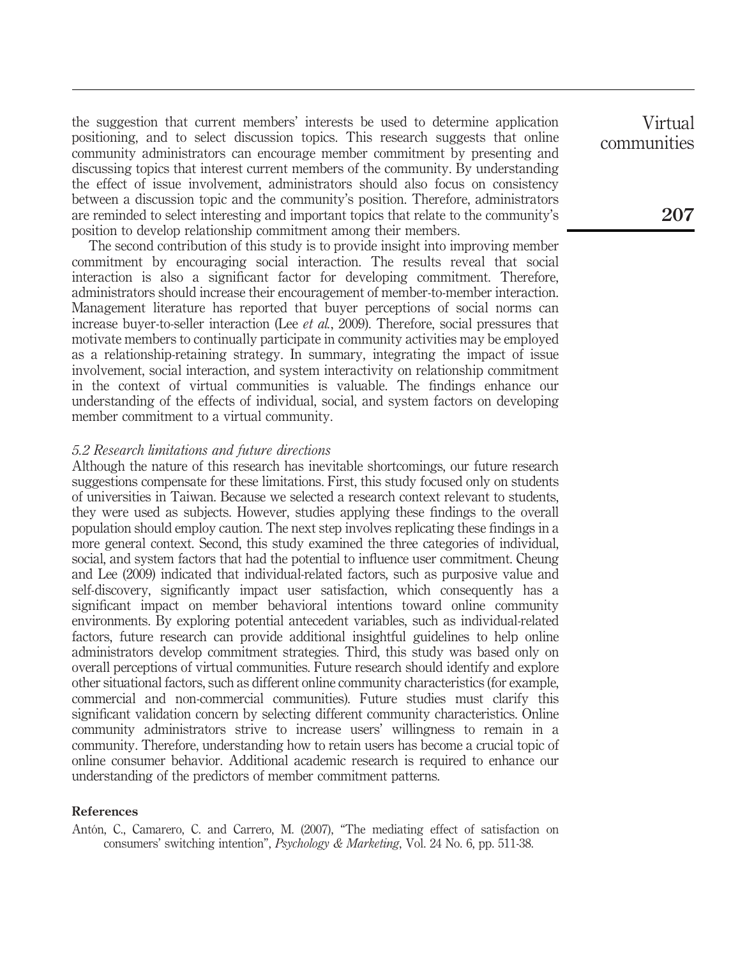the suggestion that current members' interests be used to determine application positioning, and to select discussion topics. This research suggests that online community administrators can encourage member commitment by presenting and discussing topics that interest current members of the community. By understanding the effect of issue involvement, administrators should also focus on consistency between a discussion topic and the community's position. Therefore, administrators are reminded to select interesting and important topics that relate to the community's position to develop relationship commitment among their members.

The second contribution of this study is to provide insight into improving member commitment by encouraging social interaction. The results reveal that social interaction is also a significant factor for developing commitment. Therefore, administrators should increase their encouragement of member-to-member interaction. Management literature has reported that buyer perceptions of social norms can increase buyer-to-seller interaction (Lee et al., 2009). Therefore, social pressures that motivate members to continually participate in community activities may be employed as a relationship-retaining strategy. In summary, integrating the impact of issue involvement, social interaction, and system interactivity on relationship commitment in the context of virtual communities is valuable. The findings enhance our understanding of the effects of individual, social, and system factors on developing member commitment to a virtual community.

## 5.2 Research limitations and future directions

Although the nature of this research has inevitable shortcomings, our future research suggestions compensate for these limitations. First, this study focused only on students of universities in Taiwan. Because we selected a research context relevant to students, they were used as subjects. However, studies applying these findings to the overall population should employ caution. The next step involves replicating these findings in a more general context. Second, this study examined the three categories of individual, social, and system factors that had the potential to influence user commitment. Cheung and Lee (2009) indicated that individual-related factors, such as purposive value and self-discovery, significantly impact user satisfaction, which consequently has a significant impact on member behavioral intentions toward online community environments. By exploring potential antecedent variables, such as individual-related factors, future research can provide additional insightful guidelines to help online administrators develop commitment strategies. Third, this study was based only on overall perceptions of virtual communities. Future research should identify and explore other situational factors, such as different online community characteristics (for example, commercial and non-commercial communities). Future studies must clarify this significant validation concern by selecting different community characteristics. Online community administrators strive to increase users' willingness to remain in a community. Therefore, understanding how to retain users has become a crucial topic of online consumer behavior. Additional academic research is required to enhance our understanding of the predictors of member commitment patterns.

## References

Antón, C., Camarero, C. and Carrero, M. (2007), "The mediating effect of satisfaction on consumers' switching intention", Psychology & Marketing, Vol. 24 No. 6, pp. 511-38.

Virtual communities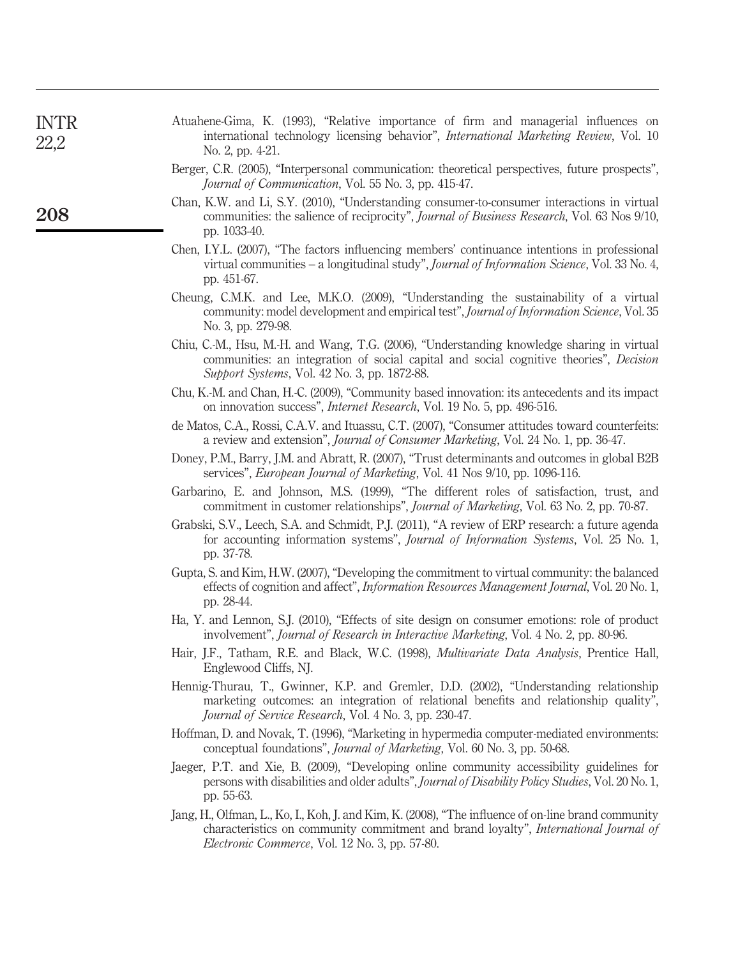| <b>INTR</b><br>22,2 | Atuahene-Gima, K. (1993), "Relative importance of firm and managerial influences on<br>international technology licensing behavior", <i>International Marketing Review</i> , Vol. 10<br>No. 2, pp. 4-21.                                        |
|---------------------|-------------------------------------------------------------------------------------------------------------------------------------------------------------------------------------------------------------------------------------------------|
|                     | Berger, C.R. (2005), "Interpersonal communication: theoretical perspectives, future prospects",<br><i>Journal of Communication, Vol.</i> 55 No. 3, pp. 415-47.                                                                                  |
| 208                 | Chan, K.W. and Li, S.Y. (2010), "Understanding consumer-to-consumer interactions in virtual<br>communities: the salience of reciprocity", Journal of Business Research, Vol. 63 Nos 9/10,<br>pp. 1033-40.                                       |
|                     | Chen, I.Y.L. (2007), "The factors influencing members' continuance intentions in professional<br>virtual communities – a longitudinal study", <i>Journal of Information Science</i> , Vol. 33 No. 4,<br>pp. 451-67.                             |
|                     | Cheung, C.M.K. and Lee, M.K.O. (2009), "Understanding the sustainability of a virtual<br>community: model development and empirical test", Journal of Information Science, Vol. 35<br>No. 3, pp. 279-98.                                        |
|                     | Chiu, C.-M., Hsu, M.-H. and Wang, T.G. (2006), "Understanding knowledge sharing in virtual<br>communities: an integration of social capital and social cognitive theories", Decision<br><i>Support Systems, Vol. 42 No. 3, pp. 1872-88.</i>     |
|                     | Chu, K.-M. and Chan, H.-C. (2009), "Community based innovation: its antecedents and its impact<br>on innovation success", <i>Internet Research</i> , Vol. 19 No. 5, pp. 496-516.                                                                |
|                     | de Matos, C.A., Rossi, C.A.V. and Ituassu, C.T. (2007), "Consumer attitudes toward counterfeits:<br>a review and extension", Journal of Consumer Marketing, Vol. 24 No. 1, pp. 36-47.                                                           |
|                     | Doney, P.M., Barry, J.M. and Abratt, R. (2007), "Trust determinants and outcomes in global B2B<br>services", European Journal of Marketing, Vol. 41 Nos 9/10, pp. 1096-116.                                                                     |
|                     | Garbarino, E. and Johnson, M.S. (1999), "The different roles of satisfaction, trust, and<br>commitment in customer relationships", <i>Journal of Marketing</i> , Vol. 63 No. 2, pp. 70-87.                                                      |
|                     | Grabski, S.V., Leech, S.A. and Schmidt, P.J. (2011), "A review of ERP research: a future agenda<br>for accounting information systems", Journal of Information Systems, Vol. 25 No. 1,<br>pp. 37-78.                                            |
|                     | Gupta, S. and Kim, H.W. (2007), "Developing the commitment to virtual community: the balanced<br>effects of cognition and affect", <i>Information Resources Management Journal</i> , Vol. 20 No. 1,<br>pp. 28-44.                               |
|                     | Ha, Y. and Lennon, S.J. (2010), "Effects of site design on consumer emotions: role of product<br>involvement", <i>Journal of Research in Interactive Marketing</i> , Vol. 4 No. 2, pp. 80-96.                                                   |
|                     | Hair, J.F., Tatham, R.E. and Black, W.C. (1998), <i>Multivariate Data Analysis</i> , Prentice Hall,<br>Englewood Cliffs, NJ.                                                                                                                    |
|                     | Hennig-Thurau, T., Gwinner, K.P. and Gremler, D.D. (2002), "Understanding relationship<br>marketing outcomes: an integration of relational benefits and relationship quality",<br><i>Journal of Service Research, Vol. 4 No. 3, pp. 230-47.</i> |
|                     | Hoffman, D. and Novak, T. (1996), "Marketing in hypermedia computer-mediated environments:<br>conceptual foundations", <i>Journal of Marketing</i> , Vol. 60 No. 3, pp. 50-68.                                                                  |
|                     | Jaeger, P.T. and Xie, B. (2009), "Developing online community accessibility guidelines for<br>persons with disabilities and older adults", Journal of Disability Policy Studies, Vol. 20 No. 1,<br>pp. 55-63.                                   |
|                     | Jang, H., Olfman, L., Ko, I., Koh, J. and Kim, K. (2008), "The influence of on-line brand community<br>characteristics on community commitment and brand loyalty", International Journal of<br>Electronic Commerce, Vol. 12 No. 3, pp. 57-80.   |
|                     |                                                                                                                                                                                                                                                 |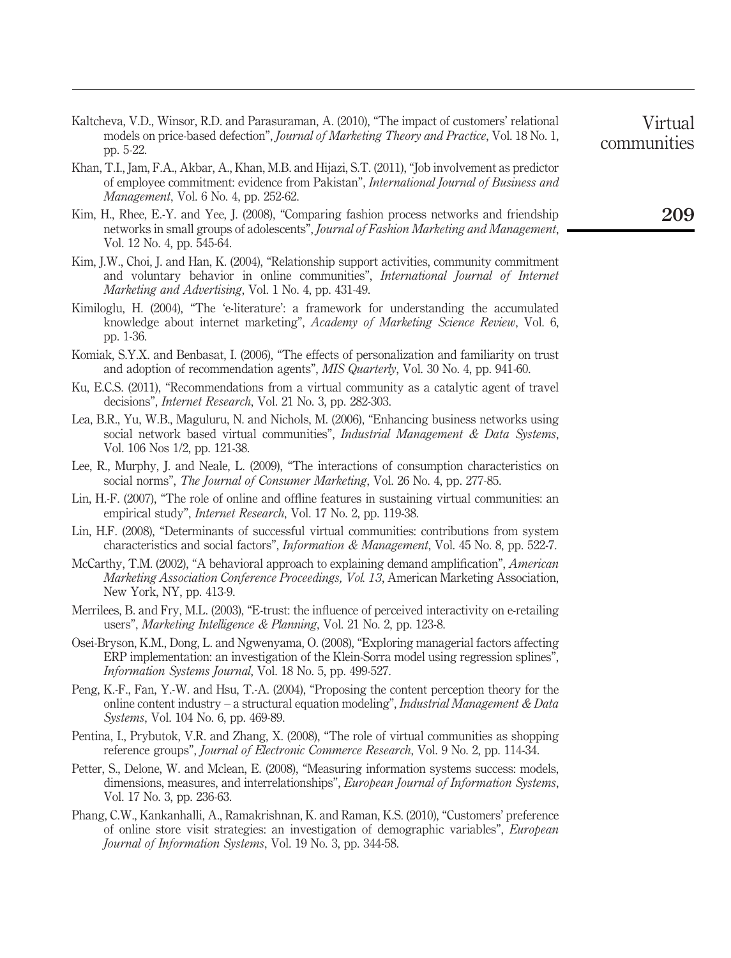| Kaltcheva, V.D., Winsor, R.D. and Parasuraman, A. (2010), "The impact of customers' relational     |  |
|----------------------------------------------------------------------------------------------------|--|
| models on price-based defection", <i>Journal of Marketing Theory and Practice</i> , Vol. 18 No. 1, |  |
| pp. 5-22.                                                                                          |  |

- Khan, T.I., Jam, F.A., Akbar, A., Khan, M.B. and Hijazi, S.T. (2011), "Job involvement as predictor of employee commitment: evidence from Pakistan", International Journal of Business and Management, Vol. 6 No. 4, pp. 252-62.
- Kim, H., Rhee, E.-Y. and Yee, J. (2008), "Comparing fashion process networks and friendship networks in small groups of adolescents", Journal of Fashion Marketing and Management, Vol. 12 No. 4, pp. 545-64.
- Kim, J.W., Choi, J. and Han, K. (2004), "Relationship support activities, community commitment and voluntary behavior in online communities", International Journal of Internet Marketing and Advertising, Vol. 1 No. 4, pp. 431-49.
- Kimiloglu, H. (2004), "The 'e-literature': a framework for understanding the accumulated knowledge about internet marketing", Academy of Marketing Science Review, Vol. 6, pp. 1-36.
- Komiak, S.Y.X. and Benbasat, I. (2006), "The effects of personalization and familiarity on trust and adoption of recommendation agents", MIS Quarterly, Vol. 30 No. 4, pp. 941-60.
- Ku, E.C.S. (2011), "Recommendations from a virtual community as a catalytic agent of travel decisions", Internet Research, Vol. 21 No. 3, pp. 282-303.
- Lea, B.R., Yu, W.B., Maguluru, N. and Nichols, M. (2006), "Enhancing business networks using social network based virtual communities", Industrial Management & Data Systems, Vol. 106 Nos 1/2, pp. 121-38.
- Lee, R., Murphy, J. and Neale, L. (2009), "The interactions of consumption characteristics on social norms", The Journal of Consumer Marketing, Vol. 26 No. 4, pp. 277-85.
- Lin, H.-F. (2007), "The role of online and offline features in sustaining virtual communities: an empirical study", Internet Research, Vol. 17 No. 2, pp. 119-38.
- Lin, H.F. (2008), "Determinants of successful virtual communities: contributions from system characteristics and social factors", Information & Management, Vol. 45 No. 8, pp. 522-7.
- McCarthy, T.M. (2002), "A behavioral approach to explaining demand amplification", *American* Marketing Association Conference Proceedings, Vol. 13, American Marketing Association, New York, NY, pp. 413-9.
- Merrilees, B. and Fry, M.L. (2003), "E-trust: the influence of perceived interactivity on e-retailing users", Marketing Intelligence & Planning, Vol. 21 No. 2, pp. 123-8.
- Osei-Bryson, K.M., Dong, L. and Ngwenyama, O. (2008), "Exploring managerial factors affecting ERP implementation: an investigation of the Klein-Sorra model using regression splines", Information Systems Journal, Vol. 18 No. 5, pp. 499-527.
- Peng, K.-F., Fan, Y.-W. and Hsu, T.-A. (2004), "Proposing the content perception theory for the online content industry – a structural equation modeling", *Industrial Management & Data* Systems, Vol. 104 No. 6, pp. 469-89.
- Pentina, I., Prybutok, V.R. and Zhang, X. (2008), "The role of virtual communities as shopping reference groups", Journal of Electronic Commerce Research, Vol. 9 No. 2, pp. 114-34.
- Petter, S., Delone, W. and Mclean, E. (2008), "Measuring information systems success: models, dimensions, measures, and interrelationships", European Journal of Information Systems, Vol. 17 No. 3, pp. 236-63.
- Phang, C.W., Kankanhalli, A., Ramakrishnan, K. and Raman, K.S. (2010), "Customers' preference of online store visit strategies: an investigation of demographic variables", European Journal of Information Systems, Vol. 19 No. 3, pp. 344-58.

Virtual communities